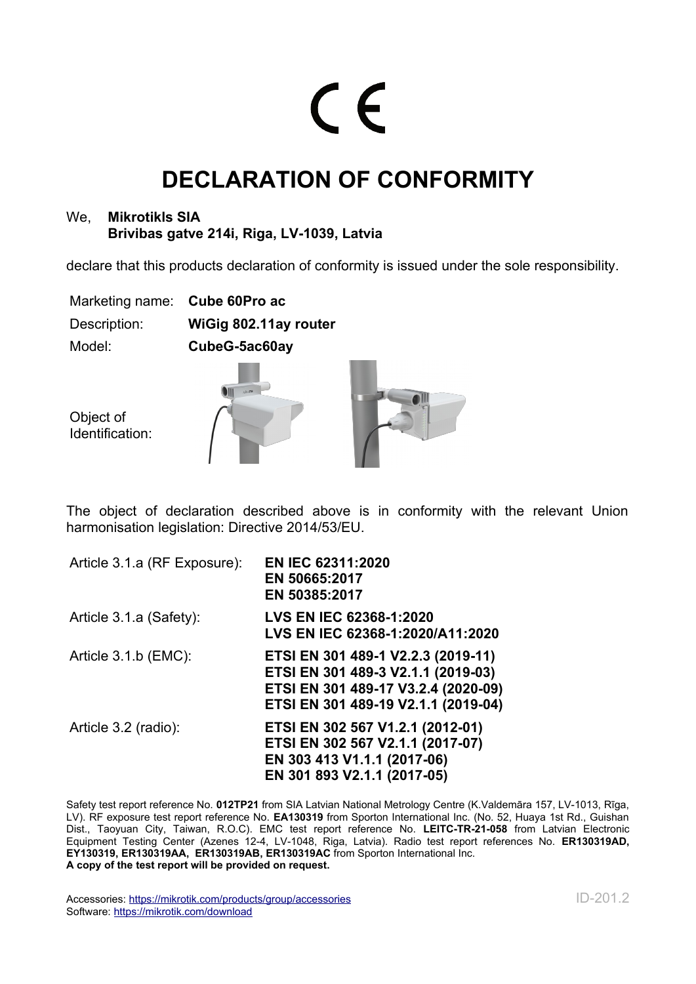## $\epsilon$

## **DECLARATION OF CONFORMITY**

## We, **Mikrotikls SIA Brivibas gatve 214i, Riga, LV-1039, Latvia**

declare that this products declaration of conformity is issued under the sole responsibility.

Marketing name: **Cube 60Pro ac** Description: **WiGig 802.11ay router** Model: **CubeG-5ac60ay**

Object of Identification:

The object of declaration described above is in conformity with the relevant Union harmonisation legislation: Directive 2014/53/EU.

| Article 3.1.a (RF Exposure): | EN IEC 62311:2020<br>EN 50665:2017<br>EN 50385:2017                                                                                                    |
|------------------------------|--------------------------------------------------------------------------------------------------------------------------------------------------------|
| Article 3.1.a (Safety):      | <b>LVS EN IEC 62368-1:2020</b><br>LVS EN IEC 62368-1:2020/A11:2020                                                                                     |
| Article 3.1.b (EMC):         | ETSI EN 301 489-1 V2.2.3 (2019-11)<br>ETSI EN 301 489-3 V2.1.1 (2019-03)<br>ETSI EN 301 489-17 V3.2.4 (2020-09)<br>ETSI EN 301 489-19 V2.1.1 (2019-04) |
| Article 3.2 (radio):         | ETSI EN 302 567 V1.2.1 (2012-01)<br>ETSI EN 302 567 V2.1.1 (2017-07)<br>EN 303 413 V1.1.1 (2017-06)<br>EN 301 893 V2.1.1 (2017-05)                     |

Safety test report reference No. **012TP21** from SIA Latvian National Metrology Centre (K.Valdemāra 157, LV-1013, Rīga, LV). RF exposure test report reference No. **EA130319** from Sporton International Inc. (No. 52, Huaya 1st Rd., Guishan Dist., Taoyuan City, Taiwan, R.O.C). EMC test report reference No. **LEITC-TR-21-058** from Latvian Electronic Equipment Testing Center (Azenes 12-4, LV-1048, Riga, Latvia). Radio test report references No. **ER130319AD, EY130319, ER130319AA, ER130319AB, ER130319AC** from Sporton International Inc. **A copy of the test report will be provided on request.**